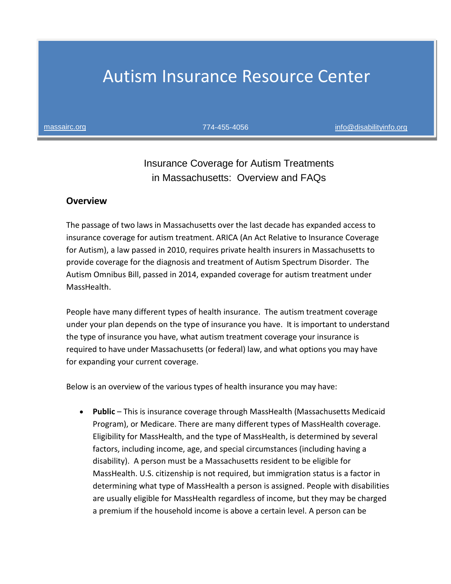# Autism Insurance Resource Center

[massairc.org](mailto:massairc.org%09) 774-455-4056 [info@disabilityinfo.org](mailto:info@disabilityinfo.org)

## Insurance Coverage for Autism Treatments in Massachusetts: Overview and FAQs

#### **Overview**

The passage of two laws in Massachusetts over the last decade has expanded access to insurance coverage for autism treatment. ARICA (An Act Relative to Insurance Coverage for Autism), a law passed in 2010, requires private health insurers in Massachusetts to provide coverage for the diagnosis and treatment of Autism Spectrum Disorder. The Autism Omnibus Bill, passed in 2014, expanded coverage for autism treatment under MassHealth.

People have many different types of health insurance. The autism treatment coverage under your plan depends on the type of insurance you have. It is important to understand the type of insurance you have, what autism treatment coverage your insurance is required to have under Massachusetts (or federal) law, and what options you may have for expanding your current coverage.

Below is an overview of the various types of health insurance you may have:

• **Public** – This is insurance coverage through MassHealth (Massachusetts Medicaid Program), or Medicare. There are many different types of MassHealth coverage. Eligibility for MassHealth, and the type of MassHealth, is determined by several factors, including income, age, and special circumstances (including having a disability). A person must be a Massachusetts resident to be eligible for MassHealth. U.S. citizenship is not required, but immigration status is a factor in determining what type of MassHealth a person is assigned. People with disabilities are usually eligible for MassHealth regardless of income, but they may be charged a premium if the household income is above a certain level. A person can be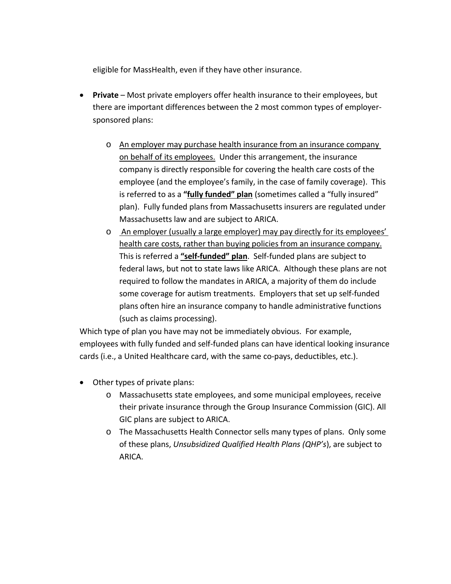eligible for MassHealth, even if they have other insurance.

- **Private** Most private employers offer health insurance to their employees, but there are important differences between the 2 most common types of employersponsored plans:
	- o An employer may purchase health insurance from an insurance company on behalf of its employees. Under this arrangement, the insurance company is directly responsible for covering the health care costs of the employee (and the employee's family, in the case of family coverage). This is referred to as a **"fully funded" plan** (sometimes called a "fully insured" plan). Fully funded plans from Massachusetts insurers are regulated under Massachusetts law and are subject to ARICA.
	- o An employer (usually a large employer) may pay directly for its employees' health care costs, rather than buying policies from an insurance company. This is referred a **"self-funded" plan**. Self-funded plans are subject to federal laws, but not to state laws like ARICA. Although these plans are not required to follow the mandates in ARICA, a majority of them do include some coverage for autism treatments. Employers that set up self-funded plans often hire an insurance company to handle administrative functions (such as claims processing).

Which type of plan you have may not be immediately obvious. For example, employees with fully funded and self-funded plans can have identical looking insurance cards (i.e., a United Healthcare card, with the same co-pays, deductibles, etc.).

- Other types of private plans:
	- o Massachusetts state employees, and some municipal employees, receive their private insurance through the Group Insurance Commission (GIC). All GIC plans are subject to ARICA.
	- o The Massachusetts Health Connector sells many types of plans. Only some of these plans, *Unsubsidized Qualified Health Plans (QHP's*), are subject to ARICA.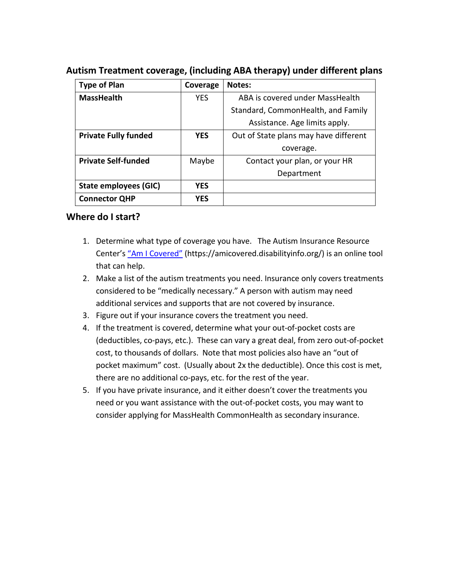| <b>Type of Plan</b>         | Coverage   | Notes:                                |
|-----------------------------|------------|---------------------------------------|
| <b>MassHealth</b>           | <b>YES</b> | ABA is covered under MassHealth       |
|                             |            | Standard, CommonHealth, and Family    |
|                             |            | Assistance. Age limits apply.         |
| <b>Private Fully funded</b> | <b>YES</b> | Out of State plans may have different |
|                             |            | coverage.                             |
| <b>Private Self-funded</b>  | Maybe      | Contact your plan, or your HR         |
|                             |            | Department                            |
| State employees (GIC)       | <b>YES</b> |                                       |
| <b>Connector QHP</b>        | <b>YES</b> |                                       |

#### **Autism Treatment coverage, (including ABA therapy) under different plans**

#### **Where do I start?**

- 1. Determine what type of coverage you have. The Autism Insurance Resource Center's ["Am I Covered"](https://amicovered.disabilityinfo.org/) (https://amicovered.disabilityinfo.org/) is an online tool that can help.
- 2. Make a list of the autism treatments you need. Insurance only covers treatments considered to be "medically necessary." A person with autism may need additional services and supports that are not covered by insurance.
- 3. Figure out if your insurance covers the treatment you need.
- 4. If the treatment is covered, determine what your out-of-pocket costs are (deductibles, co-pays, etc.). These can vary a great deal, from zero out-of-pocket cost, to thousands of dollars. Note that most policies also have an "out of pocket maximum" cost. (Usually about 2x the deductible). Once this cost is met, there are no additional co-pays, etc. for the rest of the year.
- 5. If you have private insurance, and it either doesn't cover the treatments you need or you want assistance with the out-of-pocket costs, you may want to consider applying for MassHealth CommonHealth as secondary insurance.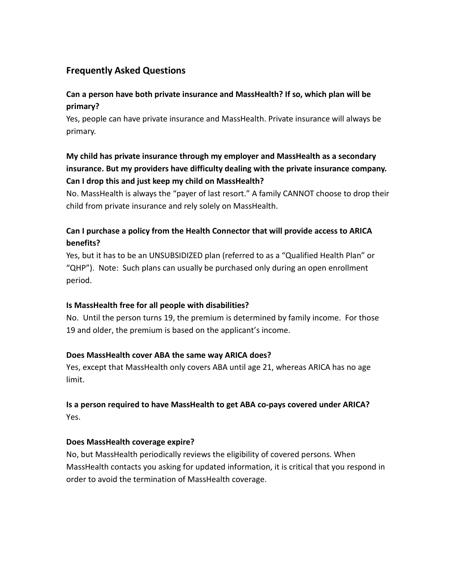## **Frequently Asked Questions**

## **Can a person have both private insurance and MassHealth? If so, which plan will be primary?**

Yes, people can have private insurance and MassHealth. Private insurance will always be primary.

## **My child has private insurance through my employer and MassHealth as a secondary insurance. But my providers have difficulty dealing with the private insurance company. Can I drop this and just keep my child on MassHealth?**

No. MassHealth is always the "payer of last resort." A family CANNOT choose to drop their child from private insurance and rely solely on MassHealth.

## **Can I purchase a policy from the Health Connector that will provide access to ARICA benefits?**

Yes, but it has to be an UNSUBSIDIZED plan (referred to as a "Qualified Health Plan" or "QHP"). Note: Such plans can usually be purchased only during an open enrollment period.

#### **Is MassHealth free for all people with disabilities?**

No. Until the person turns 19, the premium is determined by family income. For those 19 and older, the premium is based on the applicant's income.

#### **Does MassHealth cover ABA the same way ARICA does?**

Yes, except that MassHealth only covers ABA until age 21, whereas ARICA has no age limit.

## **Is a person required to have MassHealth to get ABA co-pays covered under ARICA?** Yes.

#### **Does MassHealth coverage expire?**

No, but MassHealth periodically reviews the eligibility of covered persons. When MassHealth contacts you asking for updated information, it is critical that you respond in order to avoid the termination of MassHealth coverage.